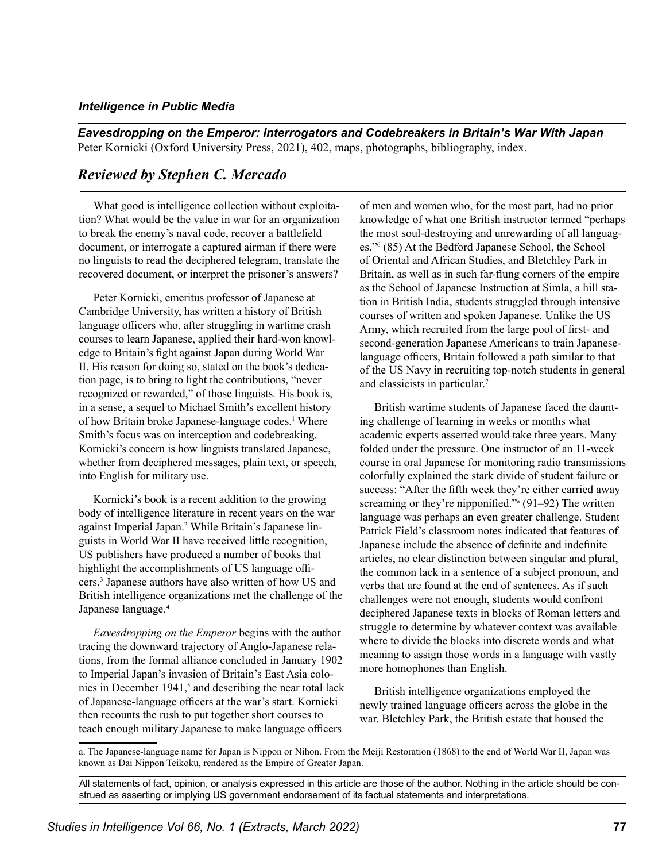## <span id="page-0-0"></span>*Intelligence in Public Media*

*Eavesdropping on the Emperor: Interrogators and Codebreakers in Britain's War With Japan* Peter Kornicki (Oxford University Press, 2021), 402, maps, photographs, bibliography, index.

## *Reviewed by Stephen C. Mercado*

What good is intelligence collection without exploitation? What would be the value in war for an organization to break the enemy's naval code, recover a battlefield document, or interrogate a captured airman if there were no linguists to read the deciphered telegram, translate the recovered document, or interpret the prisoner's answers?

Peter Kornicki, emeritus professor of Japanese at Cambridge University, has written a history of British language officers who, after struggling in wartime crash courses to learn Japanese, applied their hard-won knowledge to Britain's fight against Japan during World War II. His reason for doing so, stated on the book's dedication page, is to bring to light the contributions, "never recognized or rewarded," of those linguists. His book is, in a sense, a sequel to Michael Smith's excellent history of how Britain broke Japanese-language codes.<sup>1</sup> Where Smith's focus was on interception and codebreaking, Kornicki's concern is how linguists translated Japanese, whether from deciphered messages, plain text, or speech, into English for military use.

Kornicki's book is a recent addition to the growing body of intelligence literature in recent years on the war against Imperial Japan[.2](#page-2-0) While Britain's Japanese linguists in World War II have received little recognition, US publishers have produced a number of books that highlight the accomplishments of US language officers.[3](#page-2-0) Japanese authors have also written of how US and British intelligence organizations met the challenge of the Japanese language.<sup>[4](#page-2-0)</sup>

*Eavesdropping on the Emperor* begins with the author tracing the downward trajectory of Anglo-Japanese relations, from the formal alliance concluded in January 1902 to Imperial Japan's invasion of Britain's East Asia colonies in December 1941,<sup>5</sup> and describing the near total lack of Japanese-language officers at the war's start. Kornicki then recounts the rush to put together short courses to teach enough military Japanese to make language officers

of men and women who, for the most part, had no prior knowledge of what one British instructor termed "perhaps the most soul-destroying and unrewarding of all languages."[6](#page-2-0) (85) At the Bedford Japanese School, the School of Oriental and African Studies, and Bletchley Park in Britain, as well as in such far-flung corners of the empire as the School of Japanese Instruction at Simla, a hill station in British India, students struggled through intensive courses of written and spoken Japanese. Unlike the US Army, which recruited from the large pool of first- and second-generation Japanese Americans to train Japaneselanguage officers, Britain followed a path similar to that of the US Navy in recruiting top-notch students in general and classicists in particular[.7](#page-2-0)

British wartime students of Japanese faced the daunting challenge of learning in weeks or months what academic experts asserted would take three years. Many folded under the pressure. One instructor of an 11-week course in oral Japanese for monitoring radio transmissions colorfully explained the stark divide of student failure or success: "After the fifth week they're either carried away screaming or they're nipponified."<sup>a</sup> (91–92) The written language was perhaps an even greater challenge. Student Patrick Field's classroom notes indicated that features of Japanese include the absence of definite and indefinite articles, no clear distinction between singular and plural, the common lack in a sentence of a subject pronoun, and verbs that are found at the end of sentences. As if such challenges were not enough, students would confront deciphered Japanese texts in blocks of Roman letters and struggle to determine by whatever context was available where to divide the blocks into discrete words and what meaning to assign those words in a language with vastly more homophones than English.

British intelligence organizations employed the newly trained language officers across the globe in the war. Bletchley Park, the British estate that housed the

a. The Japanese-language name for Japan is Nippon or Nihon. From the Meiji Restoration (1868) to the end of World War II, Japan was known as Dai Nippon Teikoku, rendered as the Empire of Greater Japan.

All statements of fact, opinion, or analysis expressed in this article are those of the author. Nothing in the article should be construed as asserting or implying US government endorsement of its factual statements and interpretations.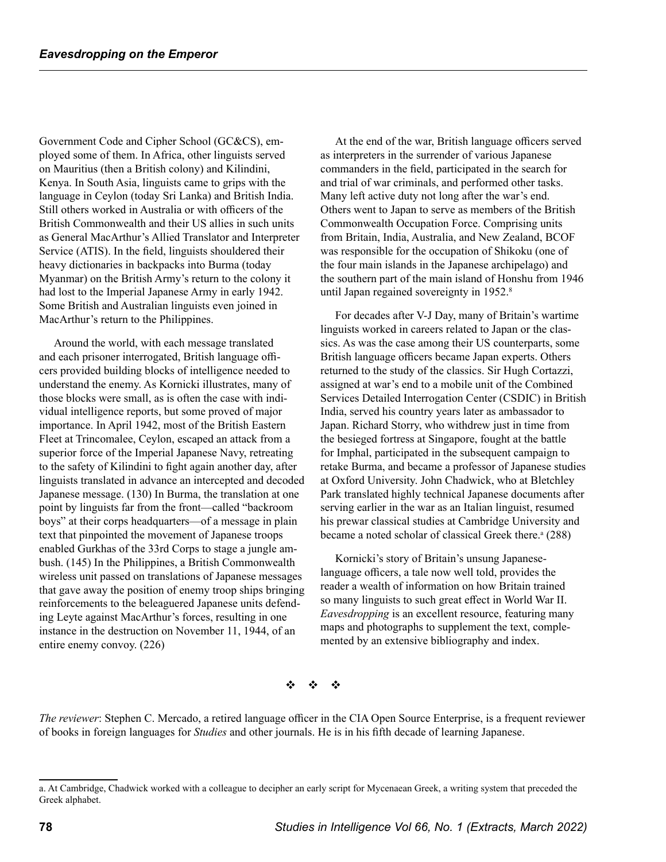<span id="page-1-0"></span>Government Code and Cipher School (GC&CS), employed some of them. In Africa, other linguists served on Mauritius (then a British colony) and Kilindini, Kenya. In South Asia, linguists came to grips with the language in Ceylon (today Sri Lanka) and British India. Still others worked in Australia or with officers of the British Commonwealth and their US allies in such units as General MacArthur's Allied Translator and Interpreter Service (ATIS). In the field, linguists shouldered their heavy dictionaries in backpacks into Burma (today Myanmar) on the British Army's return to the colony it had lost to the Imperial Japanese Army in early 1942. Some British and Australian linguists even joined in MacArthur's return to the Philippines.

Around the world, with each message translated and each prisoner interrogated, British language officers provided building blocks of intelligence needed to understand the enemy. As Kornicki illustrates, many of those blocks were small, as is often the case with individual intelligence reports, but some proved of major importance. In April 1942, most of the British Eastern Fleet at Trincomalee, Ceylon, escaped an attack from a superior force of the Imperial Japanese Navy, retreating to the safety of Kilindini to fight again another day, after linguists translated in advance an intercepted and decoded Japanese message. (130) In Burma, the translation at one point by linguists far from the front—called "backroom boys" at their corps headquarters—of a message in plain text that pinpointed the movement of Japanese troops enabled Gurkhas of the 33rd Corps to stage a jungle ambush. (145) In the Philippines, a British Commonwealth wireless unit passed on translations of Japanese messages that gave away the position of enemy troop ships bringing reinforcements to the beleaguered Japanese units defending Leyte against MacArthur's forces, resulting in one instance in the destruction on November 11, 1944, of an entire enemy convoy. (226)

At the end of the war, British language officers served as interpreters in the surrender of various Japanese commanders in the field, participated in the search for and trial of war criminals, and performed other tasks. Many left active duty not long after the war's end. Others went to Japan to serve as members of the British Commonwealth Occupation Force. Comprising units from Britain, India, Australia, and New Zealand, BCOF was responsible for the occupation of Shikoku (one of the four main islands in the Japanese archipelago) and the southern part of the main island of Honshu from 1946 until Japan regained sovereignty in 1952.<sup>[8](#page-2-0)</sup>

For decades after V-J Day, many of Britain's wartime linguists worked in careers related to Japan or the classics. As was the case among their US counterparts, some British language officers became Japan experts. Others returned to the study of the classics. Sir Hugh Cortazzi, assigned at war's end to a mobile unit of the Combined Services Detailed Interrogation Center (CSDIC) in British India, served his country years later as ambassador to Japan. Richard Storry, who withdrew just in time from the besieged fortress at Singapore, fought at the battle for Imphal, participated in the subsequent campaign to retake Burma, and became a professor of Japanese studies at Oxford University. John Chadwick, who at Bletchley Park translated highly technical Japanese documents after serving earlier in the war as an Italian linguist, resumed his prewar classical studies at Cambridge University and became a noted scholar of classical Greek there.<sup>a</sup> (288)

Kornicki's story of Britain's unsung Japaneselanguage officers, a tale now well told, provides the reader a wealth of information on how Britain trained so many linguists to such great effect in World War II. *Eavesdropping* is an excellent resource, featuring many maps and photographs to supplement the text, complemented by an extensive bibliography and index.

v v v

*The reviewer*: Stephen C. Mercado, a retired language officer in the CIA Open Source Enterprise, is a frequent reviewer of books in foreign languages for *Studies* and other journals. He is in his fifth decade of learning Japanese.

a. At Cambridge, Chadwick worked with a colleague to decipher an early script for Mycenaean Greek, a writing system that preceded the Greek alphabet.